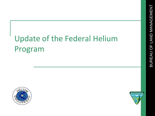# Update of the Federal Helium Program



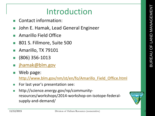## Introduction

- Contact information:
- John E. Hamak, Lead General Engineer
- Amarillo Field Office
- 801 S. Fillmore, Suite 500
- Amarillo, TX 79101
- (806) 356-1013
- [jhamak@blm.gov](mailto:jhamak@blm.gov)
- Web page: [http://www.blm.gov/nm/st/en/fo/Amarillo\\_Field\\_Office.html](http://www.blm.gov/nm/st/en/fo/Amarillo_Field_Office.html)
- **For last year's presentation see:**
- http://science.energy.gov/np/communityresources/workshops/2014-workshop-on-isotope-federalsupply-and-demand/

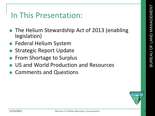### In This Presentation:

- The Helium Stewardship Act of 2013 (enabling legislation)
- Federal Helium System
- Strategic Report Update
- From Shortage to Surplus
- US and World Production and Resources
- Comments and Questions

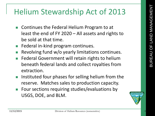## Helium Stewardship Act of 2013

- Continues the Federal Helium Program to at least the end of FY 2020 – All assets and rights to be sold at that time.
- **Federal in-kind program continues.**
- Revolving fund w/o yearly limitations continues.
- **Federal Government will retain rights to helium** beneath federal lands and collect royalties from extraction.
- **Instituted four phases for selling helium from the** reserve. Matches sales to production capacity.
- Four sections requiring studies/evaluations by USGS, DOE, and BLM.

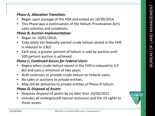#### *Phase A, Allocation Transition:*

- Began upon passage of the HSA and ended on 10/30/2014.
- This Phase was a continuation of the Helium Privatization Act's sales volumes and conditions.

#### *Phase B, Auction Implementation:*

- Began on 10/01/2014;
- Ends when the federally-owned crude helium stored in the FHR is reduced to 3 Bcf.
- Each year, a greater percent of helium is sold by auction until 100 percent auction is achieved.

#### *Phase C, Continued Access for Federal Users:*

- Begins when crude helium stored in the FHR is reduced to 3.0 Bcf and lasts a minimum of two years.
- BLM continues to provide crude helium to Federal users.
- No sales or auctions to private entities,
- May still be deliveries to private entities of Phase B helium.

#### *Phase D, Disposal of Assets:*

- Requires disposal of assets by no later than 10/30/2021.
- Includes all underground natural resources and the US rights to those assets.

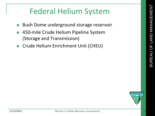## Federal Helium System

- **Bush Dome underground storage reservoir**
- 450-mile Crude Helium Pipeline System (Storage and Transmission)
- Crude Helium Enrichment Unit (CHEU)

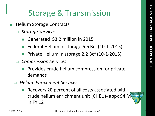## Storage & Transmission

- Helium Storage Contracts
	- *Storage Services*
		- Generated \$3.2 million in 2015
		- Federal Helium in storage 6.6 Bcf (10-1-2015)
		- Private Helium in storage 2.2 Bcf (10-1-2015)
	- *Compression Services*
		- Provides crude helium compression for private demands
	- *Helium Enrichment Services*
		- Recovers 20 percent of all costs associated with crude helium enrichment unit (CHEU)- appx \$4 M in FY 12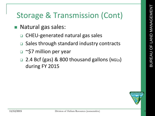## Storage & Transmission (Cont)

- **Natural gas sales:** 
	- CHEU-generated natural gas sales
	- Sales through standard industry contracts
	- □ ~\$7 million per year
	- □ 2.4 Bcf (gas) & 800 thousand gallons (NGLs) during FY 2015

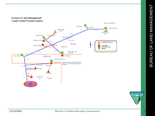

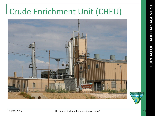# Crude Enrichment Unit (CHEU)

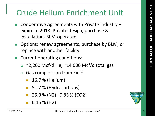## Crude Helium Enrichment Unit

- Cooperative Agreements with Private Industry expire in 2018. Private design, purchase & installation. BLM-operated
- Options: renew agreements, purchase by BLM, or replace with another facility.
- Current operating conditions:
	- $\Box$  ~2,200 Mcf/d He, ~14,000 Mcf/d total gas
	- □ Gas composition from Field
		- 16.7 % (Helium)
		- 51.7 % (Hydrocarbons)
		- 25.0 % (N2) 0.85 % (CO2)
		- 0.15 % (H2)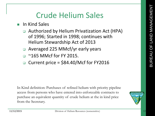### Crude Helium Sales

- **In Kind Sales** 
	- □ Authorized by Helium Privatization Act (HPA) of 1996; Started in 1998; continues with Helium Stewardship Act of 2013
	- Averaged 225 MMcf/yr early years
	- $\Box$  ~165 MMcf for FY 2015.
	- $\Box$  Current price = \$84.40/Mcf for FY2016

In Kind definition: Purchases of refined helium with priority pipeline access from persons who have entered into enforceable contracts to purchase an equivalent quantity of crude helium at the in kind price from the Secretary.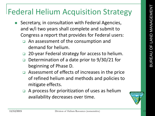## Federal Helium Acquisition Strategy

- Secretary, in consultation with Federal Agencies, and w/i two years shall complete and submit to Congress a report that provides for Federal users:
	- □ An assessment of the consumption and demand for helium.
	- □ 20-year Federal strategy for access to helium.
	- □ Determination of a date prior to 9/30/21 for beginning of Phase D.
	- □ Assessment of effects of increases in the price of refined helium and methods and policies to mitigate effects.
	- $\Box$  A process for prioritization of uses as helium availability decreases over time.

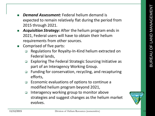- *Demand Assessment:* Federal helium demand is expected to remain relatively flat during the period from 2015 through 2021.
- *Acquisition Strategy:* After the helium program ends in 2021, Federal users will have to obtain their helium requirements from other sources.
- Comprised of five parts:
	- □ Regulations for Royalty-In-Kind helium extracted on Federal lands,
	- Exploring The Federal Strategic Sourcing Initiative as part of an Interagency Working Group.
	- □ Funding for conservation, recycling, and recapturing efforts,
	- Economic evaluations of options to continue a modified helium program beyond 2021,
	- $\Box$  Interagency working group to monitor above strategies and suggest changes as the helium market evolves.

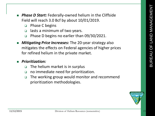- *Phase D Start:* Federally-owned helium in the Cliffside Field will reach 3.0 Bcf by about 10/01/2019.
	- □ Phase C begins
	- □ lasts a minimum of two years.
	- Phase D begins no earlier than 09/30/2021.
- *Mitigating Price Increases:* The 20-year strategy also mitigates the effects on Federal agencies of higher prices for refined helium in the private market.

#### *Prioritization:*

- The helium market is in surplus
- no immediate need for prioritization.
- □ The working group would monitor and recommend prioritization methodologies.

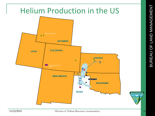

BUREAU OF LAND MANAGEMENT

BUREAU OF LAND MANAGEMENT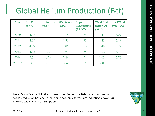## Global Helium Production (Bcf)

| Year                | <b>U.S. Prod.</b><br>$\text{(col A)}$ | <b>U.S. Imports</b><br>$\left(\text{col } B\right)$ | <b>U.S. Exports</b><br>$\left(\text{col } C\right)$ | <b>Apparent</b><br><b>Consumption</b><br>$(A+B-C)$ | <b>World Prod</b><br>not inc. US<br>$\rm (col E)$ | <b>Total World</b><br>$Prod(A+E)$ |
|---------------------|---------------------------------------|-----------------------------------------------------|-----------------------------------------------------|----------------------------------------------------|---------------------------------------------------|-----------------------------------|
| 2010                | 4.62                                  |                                                     | 2.78                                                | 1.84                                               | 1.47                                              | 6.09                              |
| 2011                | 4.69                                  |                                                     | 2.96                                                | 1.73                                               | 1.43                                              | 6.12                              |
| 2012                | 4.79                                  |                                                     | 3.06                                                | 1.73                                               | 1.48                                              | 6.27                              |
| 2013                | 4.25                                  | 0.22                                                | 2.92                                                | 1.55                                               | 1.92                                              | 6.17                              |
| 2014                | 3.71                                  | 0.29                                                | 2.49                                                | 1.51                                               | 2.05                                              | 5.76                              |
| 2015 <sup>est</sup> | 3.8                                   | 0.3                                                 | 2.4                                                 | 1.7                                                | 2.0                                               | 5.8                               |

Note: Our office is still in the process of confirming the 2014 data to assure that world production has decreased. Some economic factors are indicating a downturn in world wide helium consumption.